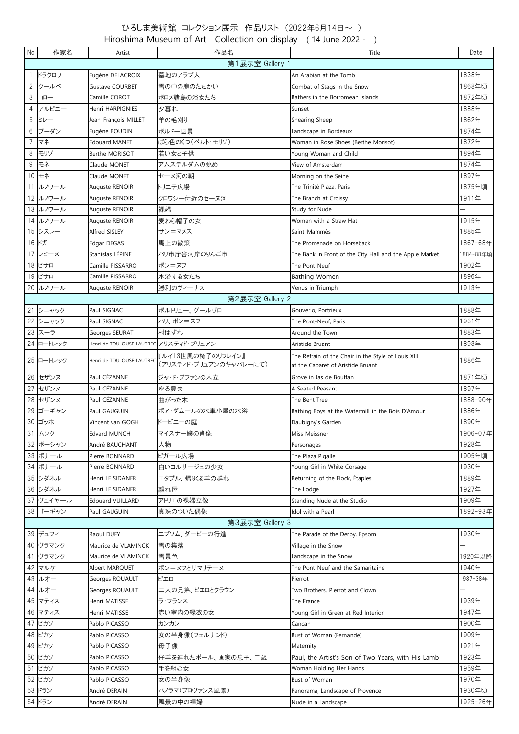## ひろしま美術館 コレクション展示 作品リスト (2022年6月14日~ ) Hiroshima Museum of Art Collection on display ( 14 June 2022 - )

| No                         | 作家名                | Artist                                 | 作品名                                         | Title                                                                                    | Date      |  |  |  |  |
|----------------------------|--------------------|----------------------------------------|---------------------------------------------|------------------------------------------------------------------------------------------|-----------|--|--|--|--|
| 第1展示室 Gallery 1            |                    |                                        |                                             |                                                                                          |           |  |  |  |  |
|                            | ドラクロワ              | Eugène DELACROIX                       | 墓地のアラブ人                                     | An Arabian at the Tomb                                                                   | 1838年     |  |  |  |  |
| 2                          | クールベ               | Gustave COURBET                        | 雪の中の鹿のたたかい                                  | Combat of Stags in the Snow                                                              | 1868年頃    |  |  |  |  |
| 3                          | コロー                | Camille COROT                          | ボロメ諸島の浴女たち                                  | Bathers in the Borromean Islands                                                         | 1872年頃    |  |  |  |  |
| 4                          | アルピニー              | Henri HARPIGNIES                       | 夕暮れ                                         | Sunset                                                                                   | 1888年     |  |  |  |  |
| 5                          | ミレー                | Jean-François MILLET                   | 羊の毛刈り                                       | Shearing Sheep                                                                           | 1862年     |  |  |  |  |
| 6                          | ブーダン               | Eugène BOUDIN                          | ボルドー風景                                      | Landscape in Bordeaux                                                                    | 1874年     |  |  |  |  |
| $\overline{7}$             | マネ                 | <b>Edouard MANET</b>                   | ばら色のくつ(ベルト・モリゾ)                             | Woman in Rose Shoes (Berthe Morisot)                                                     | 1872年     |  |  |  |  |
| 8                          | モリゾ                | Berthe MORISOT                         | 若い女と子供                                      | Young Woman and Child                                                                    | 1894年     |  |  |  |  |
| 9                          | モネ                 | Claude MONET                           | アムステルダムの眺め                                  | View of Amsterdam                                                                        | 1874年     |  |  |  |  |
| 10 <sup>1</sup>            | モネ                 | Claude MONET                           | セーヌ河の朝                                      | Morning on the Seine                                                                     | 1897年     |  |  |  |  |
|                            | 11 ルノワール           | Auguste RENOIR                         | トリニテ広場                                      | The Trinité Plaza, Paris                                                                 | 1875年頃    |  |  |  |  |
|                            | 12 ルノワール           | Auguste RENOIR                         | クロワシー付近のセーヌ河                                | The Branch at Croissy                                                                    | 1911年     |  |  |  |  |
|                            | 13 ルノワール           | Auguste RENOIR                         | 裸婦                                          | Study for Nude                                                                           |           |  |  |  |  |
|                            | 14 ルノワール           | Auguste RENOIR                         | 麦わら帽子の女                                     | Woman with a Straw Hat                                                                   | 1915年     |  |  |  |  |
|                            | 15 シスレー            | Alfred SISLEY                          | サン=マメス                                      | Saint-Mammès                                                                             | 1885年     |  |  |  |  |
|                            | 16 ドガ              | Edgar DEGAS                            | 馬上の散策                                       | The Promenade on Horseback                                                               | 1867-68年  |  |  |  |  |
|                            | 17 レピーヌ            | Stanislas LÉPINE                       | パリ市庁舎河岸のりんご市                                | The Bank in Front of the City Hall and the Apple Market                                  | 1884-88年頃 |  |  |  |  |
|                            | 18 ピサロ             | Camille PISSARRO                       | ポン=ヌフ                                       | The Pont-Neuf                                                                            | 1902年     |  |  |  |  |
|                            | 19 ピサロ             | Camille PISSARRO                       | 水浴する女たち                                     | <b>Bathing Women</b>                                                                     | 1896年     |  |  |  |  |
|                            | 20 ルノワール           | Auguste RENOIR                         | 勝利のヴィーナス                                    | Venus in Triumph                                                                         | 1913年     |  |  |  |  |
|                            |                    |                                        | 第2展示室 Gallery 2                             |                                                                                          |           |  |  |  |  |
|                            | 21 シニャック           | Paul SIGNAC                            | ポルトリュー、グールヴロ                                | Gouverlo, Portrieux                                                                      | 1888年     |  |  |  |  |
|                            | 22 シニャック           | Paul SIGNAC                            | パリ、ポン=ヌフ                                    | The Pont-Neuf, Paris                                                                     | 1931年     |  |  |  |  |
|                            | 23 スーラ             | Georges SEURAT                         | 村はずれ                                        | Around the Town                                                                          | 1883年     |  |  |  |  |
|                            | 24 ロートレック          | Henri de TOULOUSE-LAUTREC アリスティド・ブリュアン |                                             | Aristide Bruant                                                                          | 1893年     |  |  |  |  |
|                            | 25 ロートレック          | Henri de TOULOUSE-LAUTREC              | 『ルイ13世風の椅子のリフレイン』<br>(アリスティド・ブリュアンのキャバレーにて) | The Refrain of the Chair in the Style of Louis XIII<br>at the Cabaret of Aristide Bruant | 1886年     |  |  |  |  |
| 26                         | セザンヌ               | Paul CÉZANNE                           | ジャ・ド・ブファンの木立                                | Grove in Jas de Bouffan                                                                  | 1871年頃    |  |  |  |  |
|                            | 27 セザンヌ            | Paul CÉZANNE                           | 座る農夫                                        | A Seated Peasant                                                                         | 1897年     |  |  |  |  |
|                            | 28 セザンヌ            | Paul CÉZANNE                           | 曲がった木                                       | The Bent Tree                                                                            | 1888-90年  |  |  |  |  |
|                            |                    |                                        |                                             |                                                                                          | 1886年     |  |  |  |  |
|                            | 29 ゴーギャン<br>30 ゴッホ | Paul GAUGUIN<br>Vincent van GOGH       | ボア・ダムールの水車小屋の水浴<br>ドービニーの庭                  | Bathing Boys at the Watermill in the Bois D'Amour                                        | 1890年     |  |  |  |  |
|                            | 31 ムンク             | <b>Edvard MUNCH</b>                    |                                             | Daubigny's Garden<br>Miss Meissner                                                       | 1906-07年  |  |  |  |  |
|                            | 32 ボーシャン           |                                        | マイスナー嬢の肖像                                   |                                                                                          | 1928年     |  |  |  |  |
|                            |                    | André BAUCHANT                         | 人物                                          | Personages                                                                               |           |  |  |  |  |
|                            | 33 ボナール            | Pierre BONNARD                         | ピガール広場                                      | The Plaza Pigalle                                                                        | 1905年頃    |  |  |  |  |
|                            | 34 ボナール            | Pierre BONNARD                         | 白いコルサージュの少女                                 | Young Girl in White Corsage                                                              | 1930年     |  |  |  |  |
|                            | 35 シダネル            | Henri LE SIDANER                       | エタプル、帰りくる羊の群れ                               | Returning of the Flock, Étaples                                                          | 1889年     |  |  |  |  |
|                            | 36 シダネル            | Henri LE SIDANER                       | 離れ屋                                         | The Lodge                                                                                | 1927年     |  |  |  |  |
|                            | 37 ヴュイヤール          | <b>Edouard VUILLARD</b>                | アトリエの裸婦立像                                   | Standing Nude at the Studio                                                              | 1909年     |  |  |  |  |
|                            | 38 ゴーギャン           | Paul GAUGUIN                           | 真珠のついた偶像                                    | Idol with a Pearl                                                                        | 1892-93年  |  |  |  |  |
| 第3展示室 Gallery 3<br>39 デュフィ |                    |                                        |                                             |                                                                                          |           |  |  |  |  |
|                            |                    | Raoul DUFY                             | エプソム、ダービーの行進                                | The Parade of the Derby, Epsom                                                           | 1930年     |  |  |  |  |
|                            | 40 ヴラマンク           | Maurice de VLAMINCK                    | 雪の集落                                        | Village in the Snow                                                                      |           |  |  |  |  |
|                            | 41 ヴラマンク           | Maurice de VLAMINCK                    | 雪景色                                         | Landscape in the Snow                                                                    | 1920年以降   |  |  |  |  |
| 42                         | マルケ                | Albert MARQUET                         | ポン=ヌフとサマリテーヌ                                | The Pont-Neuf and the Samaritaine                                                        | 1940年     |  |  |  |  |
|                            | 43 ルオー             | Georges ROUAULT                        | ピエロ                                         | Pierrot                                                                                  | 1937-38年  |  |  |  |  |
|                            | 44 ルオー             | Georges ROUAULT                        | 二人の兄弟、ピエロとクラウン                              | Two Brothers, Pierrot and Clown                                                          |           |  |  |  |  |
|                            | 45 マティス            | Henri MATISSE                          | ラ・フランス                                      | The France                                                                               | 1939年     |  |  |  |  |
|                            | 46 マティス            | Henri MATISSE                          | 赤い室内の緑衣の女                                   | Young Girl in Green at Red Interior                                                      | 1947年     |  |  |  |  |
|                            | 47 ピカソ             | Pablo PICASSO                          | カンカン                                        | Cancan                                                                                   | 1900年     |  |  |  |  |
|                            | 48 ピカソ             | Pablo PICASSO                          | 女の半身像(フェルナンド)                               | Bust of Woman (Fernande)                                                                 | 1909年     |  |  |  |  |
|                            | 49 ピカソ             | Pablo PICASSO                          | 母子像                                         | Maternity                                                                                | 1921年     |  |  |  |  |
|                            | 50 ピカソ             | Pablo PICASSO                          | 仔羊を連れたポール、画家の息子、二歳                          | Paul, the Artist's Son of Two Years, with His Lamb                                       | 1923年     |  |  |  |  |
|                            | 51 ピカソ             | Pablo PICASSO                          | 手を組む女                                       | Woman Holding Her Hands                                                                  | 1959年     |  |  |  |  |
|                            | 52 ピカソ             | Pablo PICASSO                          | 女の半身像                                       | Bust of Woman                                                                            | 1970年     |  |  |  |  |
|                            | 53 ドラン             | André DERAIN                           | パノラマ(プロヴァンス風景)                              | Panorama, Landscape of Provence                                                          | 1930年頃    |  |  |  |  |
|                            | 54 ドラン             | André DERAIN                           | 風景の中の裸婦                                     | Nude in a Landscape                                                                      | 1925-26年  |  |  |  |  |